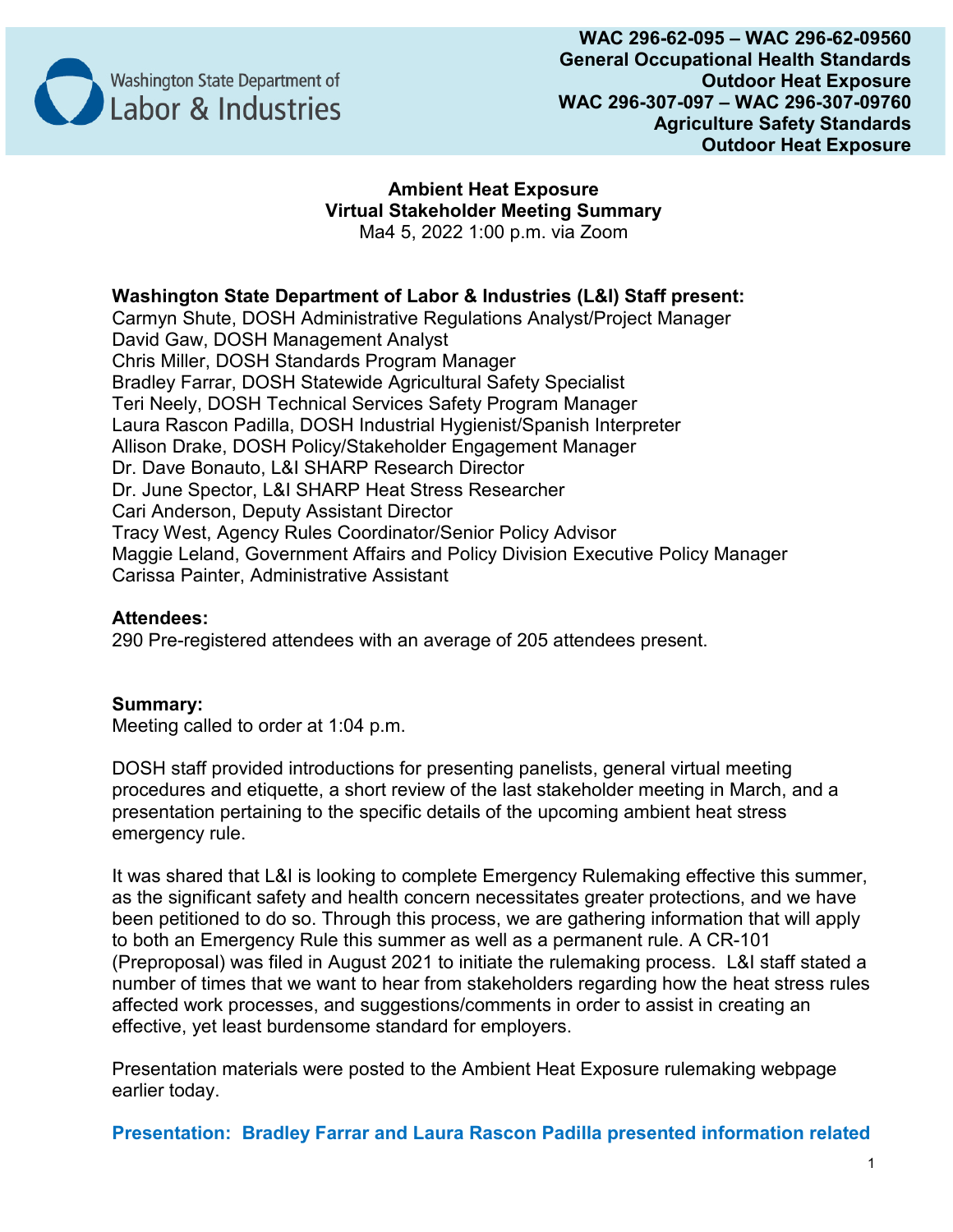

# **Ambient Heat Exposure Virtual Stakeholder Meeting Summary**

Ma4 5, 2022 1:00 p.m. via Zoom

#### **Washington State Department of Labor & Industries (L&I) Staff present:**

Carmyn Shute, DOSH Administrative Regulations Analyst/Project Manager David Gaw, DOSH Management Analyst Chris Miller, DOSH Standards Program Manager Bradley Farrar, DOSH Statewide Agricultural Safety Specialist Teri Neely, DOSH Technical Services Safety Program Manager Laura Rascon Padilla, DOSH Industrial Hygienist/Spanish Interpreter Allison Drake, DOSH Policy/Stakeholder Engagement Manager Dr. Dave Bonauto, L&I SHARP Research Director Dr. June Spector, L&I SHARP Heat Stress Researcher Cari Anderson, Deputy Assistant Director Tracy West, Agency Rules Coordinator/Senior Policy Advisor Maggie Leland, Government Affairs and Policy Division Executive Policy Manager Carissa Painter, Administrative Assistant

#### **Attendees:**

290 Pre-registered attendees with an average of 205 attendees present.

#### **Summary:**

Meeting called to order at 1:04 p.m.

DOSH staff provided introductions for presenting panelists, general virtual meeting procedures and etiquette, a short review of the last stakeholder meeting in March, and a presentation pertaining to the specific details of the upcoming ambient heat stress emergency rule.

It was shared that L&I is looking to complete Emergency Rulemaking effective this summer, as the significant safety and health concern necessitates greater protections, and we have been petitioned to do so. Through this process, we are gathering information that will apply to both an Emergency Rule this summer as well as a permanent rule. A CR-101 (Preproposal) was filed in August 2021 to initiate the rulemaking process. L&I staff stated a number of times that we want to hear from stakeholders regarding how the heat stress rules affected work processes, and suggestions/comments in order to assist in creating an effective, yet least burdensome standard for employers.

Presentation materials were posted to the Ambient Heat Exposure rulemaking webpage earlier today.

**Presentation: Bradley Farrar and Laura Rascon Padilla presented information related**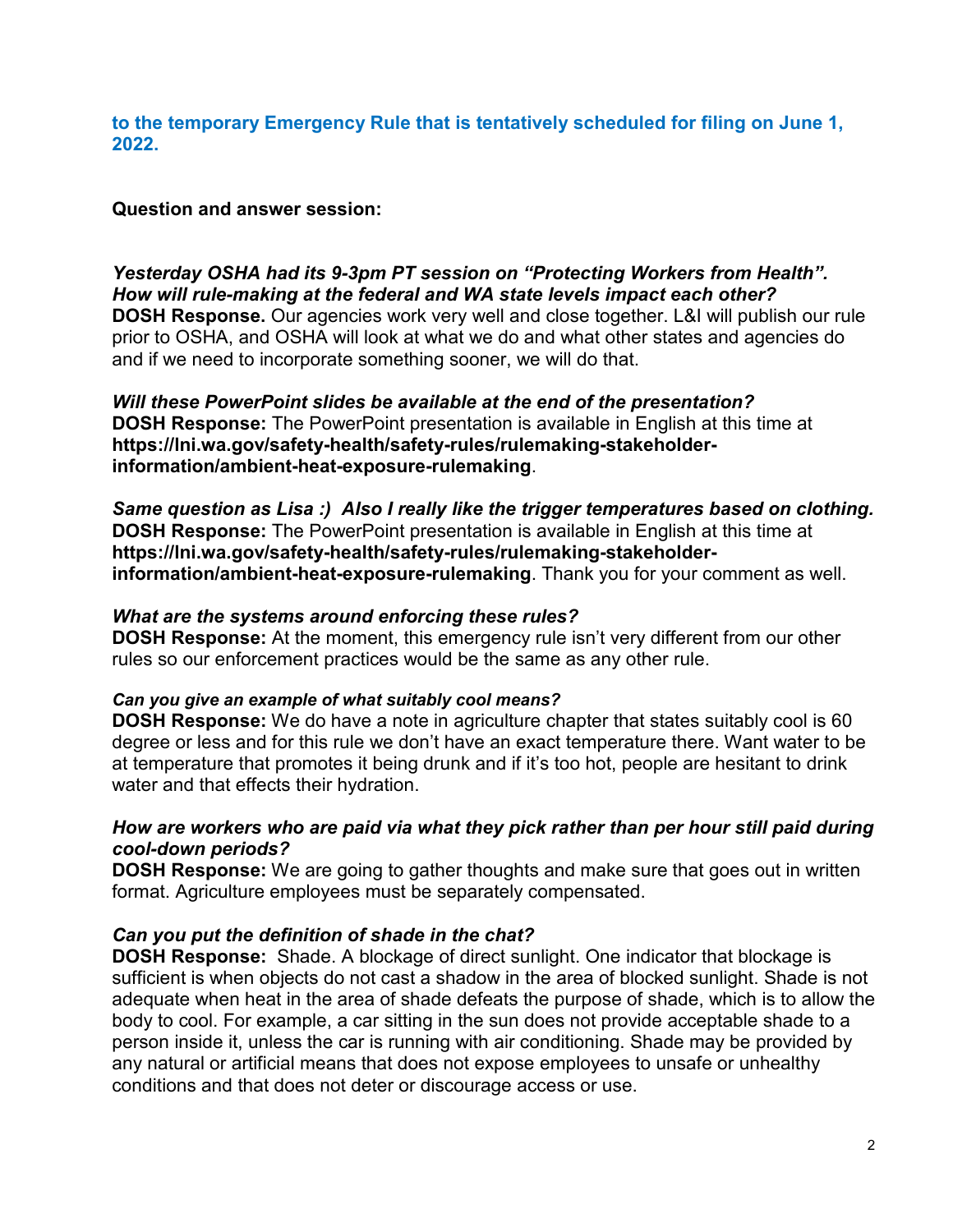**to the temporary Emergency Rule that is tentatively scheduled for filing on June 1, 2022.**

# **Question and answer session:**

*Yesterday OSHA had its 9-3pm PT session on "Protecting Workers from Health". How will rule-making at the federal and WA state levels impact each other?* **DOSH Response.** Our agencies work very well and close together. L&I will publish our rule prior to OSHA, and OSHA will look at what we do and what other states and agencies do and if we need to incorporate something sooner, we will do that.

*Will these PowerPoint slides be available at the end of the presentation?* **DOSH Response:** The PowerPoint presentation is available in English at this time at **[https://lni.wa.gov/safety-health/safety-rules/rulemaking-stakeholder](https://lni.wa.gov/safety-health/safety-rules/rulemaking-stakeholder-information/ambient-heat-exposure-rulemaking)[information/ambient-heat-exposure-rulemaking](https://lni.wa.gov/safety-health/safety-rules/rulemaking-stakeholder-information/ambient-heat-exposure-rulemaking)**.

*Same question as Lisa :) Also I really like the trigger temperatures based on clothing.*  **DOSH Response:** The PowerPoint presentation is available in English at this time at **[https://lni.wa.gov/safety-health/safety-rules/rulemaking-stakeholder](https://lni.wa.gov/safety-health/safety-rules/rulemaking-stakeholder-information/ambient-heat-exposure-rulemaking)[information/ambient-heat-exposure-rulemaking](https://lni.wa.gov/safety-health/safety-rules/rulemaking-stakeholder-information/ambient-heat-exposure-rulemaking)**. Thank you for your comment as well.

# *What are the systems around enforcing these rules?*

**DOSH Response:** At the moment, this emergency rule isn't very different from our other rules so our enforcement practices would be the same as any other rule.

### *Can you give an example of what suitably cool means?*

**DOSH Response:** We do have a note in agriculture chapter that states suitably cool is 60 degree or less and for this rule we don't have an exact temperature there. Want water to be at temperature that promotes it being drunk and if it's too hot, people are hesitant to drink water and that effects their hydration.

# *How are workers who are paid via what they pick rather than per hour still paid during cool-down periods?*

**DOSH Response:** We are going to gather thoughts and make sure that goes out in written format. Agriculture employees must be separately compensated.

# *Can you put the definition of shade in the chat?*

**DOSH Response:** Shade. A blockage of direct sunlight. One indicator that blockage is sufficient is when objects do not cast a shadow in the area of blocked sunlight. Shade is not adequate when heat in the area of shade defeats the purpose of shade, which is to allow the body to cool. For example, a car sitting in the sun does not provide acceptable shade to a person inside it, unless the car is running with air conditioning. Shade may be provided by any natural or artificial means that does not expose employees to unsafe or unhealthy conditions and that does not deter or discourage access or use.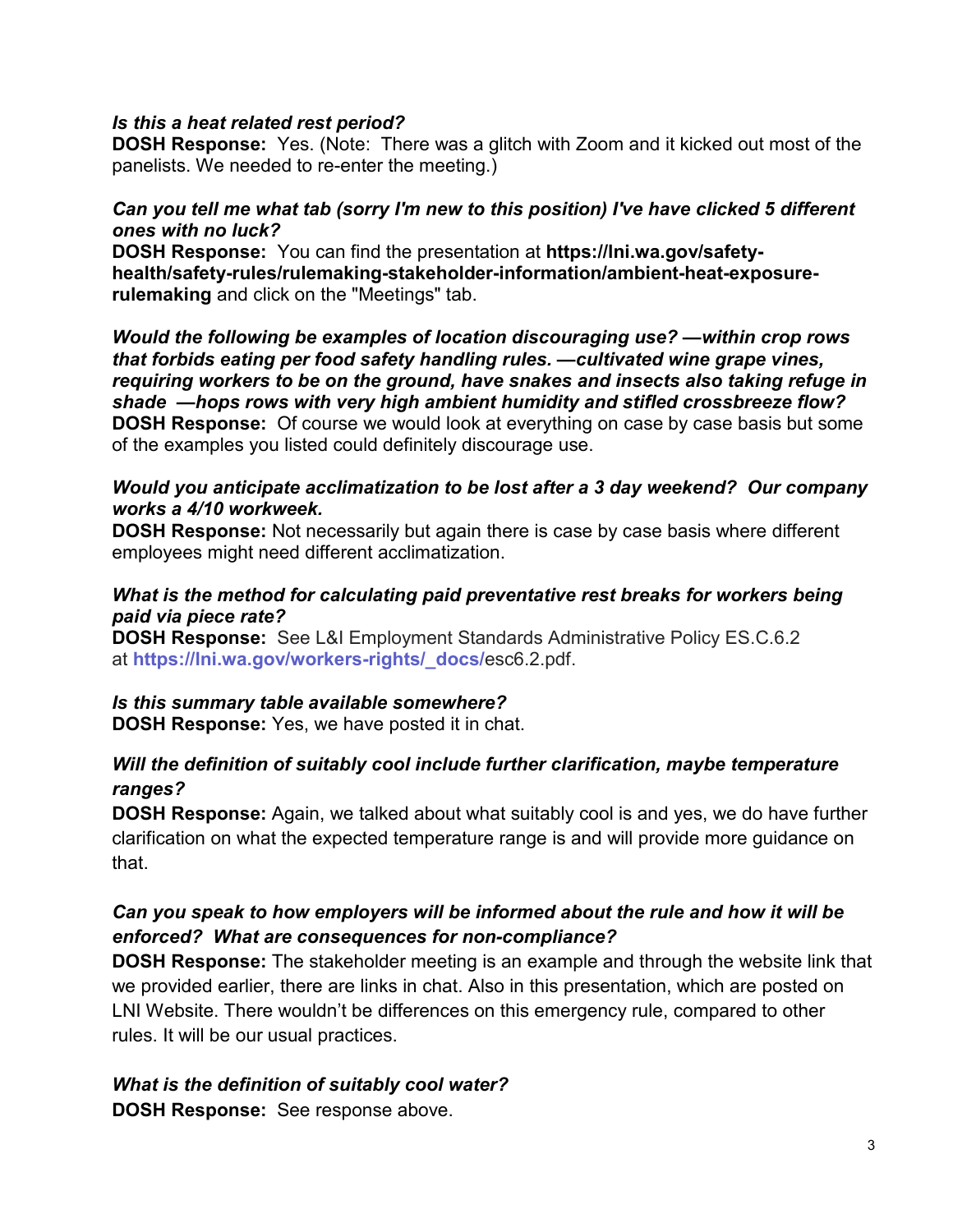# *Is this a heat related rest period?*

**DOSH Response:** Yes. (Note: There was a glitch with Zoom and it kicked out most of the panelists. We needed to re-enter the meeting.)

# *Can you tell me what tab (sorry I'm new to this position) I've have clicked 5 different ones with no luck?*

**DOSH Response:** You can find the presentation at **[https://lni.wa.gov/safety](https://lni.wa.gov/safety-health/safety-rules/rulemaking-stakeholder-information/ambient-heat-exposure-rulemaking)[health/safety-rules/rulemaking-stakeholder-information/ambient-heat-exposure](https://lni.wa.gov/safety-health/safety-rules/rulemaking-stakeholder-information/ambient-heat-exposure-rulemaking)[rulemaking](https://lni.wa.gov/safety-health/safety-rules/rulemaking-stakeholder-information/ambient-heat-exposure-rulemaking)** and click on the "Meetings" tab.

*Would the following be examples of location discouraging use? —within crop rows that forbids eating per food safety handling rules. —cultivated wine grape vines, requiring workers to be on the ground, have snakes and insects also taking refuge in shade —hops rows with very high ambient humidity and stifled crossbreeze flow?* **DOSH Response:** Of course we would look at everything on case by case basis but some of the examples you listed could definitely discourage use.

# *Would you anticipate acclimatization to be lost after a 3 day weekend? Our company works a 4/10 workweek.*

**DOSH Response:** Not necessarily but again there is case by case basis where different employees might need different acclimatization.

# *What is the method for calculating paid preventative rest breaks for workers being paid via piece rate?*

**DOSH Response:** See L&I Employment Standards Administrative Policy ES.C.6.2 at **[https://lni.wa.gov/workers-rights/\\_docs/](https://lni.wa.gov/workers-rights/_docs/)**esc6.2.pdf.

# *Is this summary table available somewhere?*

**DOSH Response:** Yes, we have posted it in chat.

# *Will the definition of suitably cool include further clarification, maybe temperature ranges?*

**DOSH Response:** Again, we talked about what suitably cool is and yes, we do have further clarification on what the expected temperature range is and will provide more guidance on that.

# *Can you speak to how employers will be informed about the rule and how it will be enforced? What are consequences for non-compliance?*

**DOSH Response:** The stakeholder meeting is an example and through the website link that we provided earlier, there are links in chat. Also in this presentation, which are posted on LNI Website. There wouldn't be differences on this emergency rule, compared to other rules. It will be our usual practices.

# *What is the definition of suitably cool water?*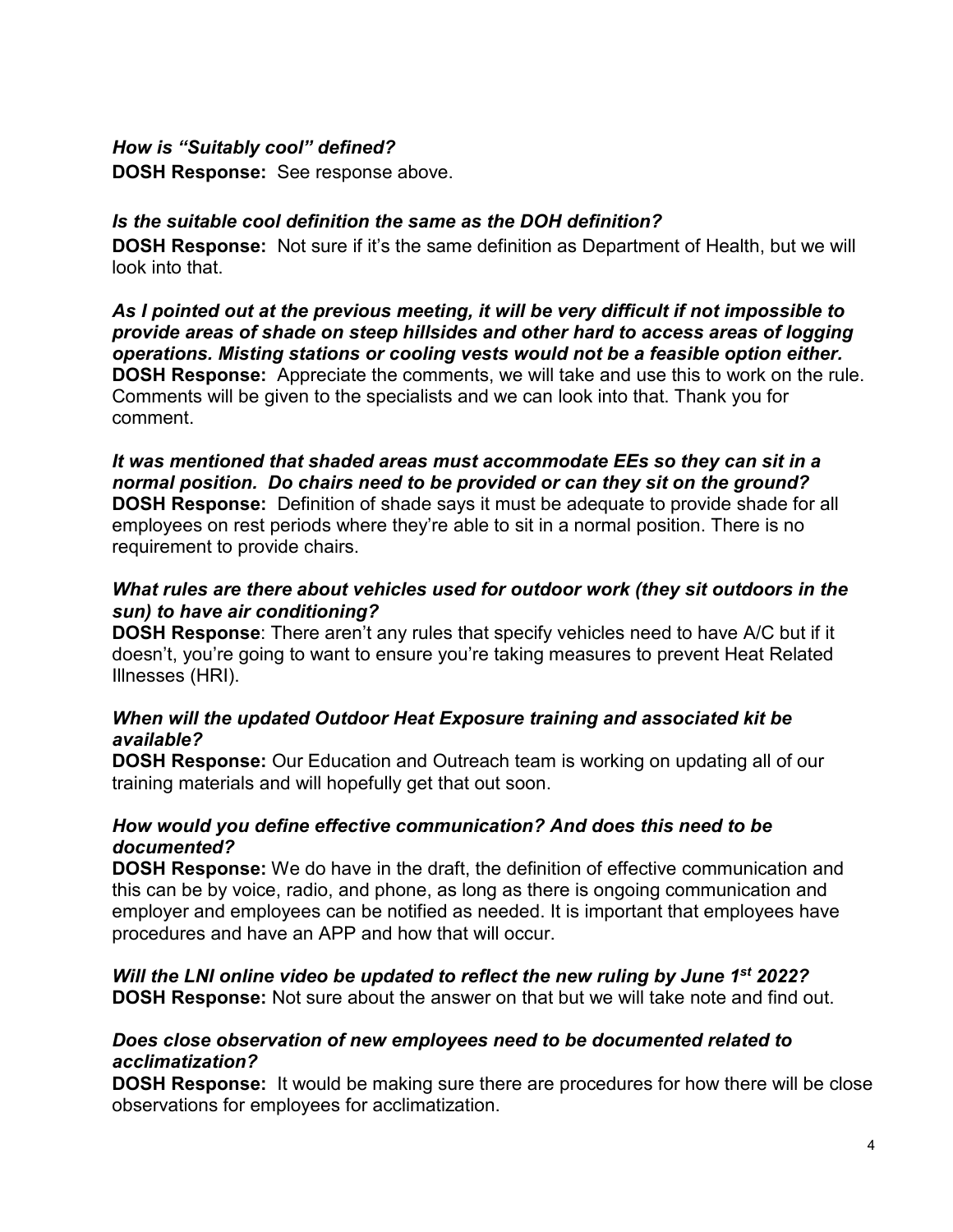# *How is "Suitably cool" defined?*

**DOSH Response:** See response above.

# *Is the suitable cool definition the same as the DOH definition?*

**DOSH Response:** Not sure if it's the same definition as Department of Health, but we will look into that.

*As I pointed out at the previous meeting, it will be very difficult if not impossible to provide areas of shade on steep hillsides and other hard to access areas of logging operations. Misting stations or cooling vests would not be a feasible option either.* **DOSH Response:** Appreciate the comments, we will take and use this to work on the rule. Comments will be given to the specialists and we can look into that. Thank you for comment.

*It was mentioned that shaded areas must accommodate EEs so they can sit in a normal position. Do chairs need to be provided or can they sit on the ground?* **DOSH Response:** Definition of shade says it must be adequate to provide shade for all employees on rest periods where they're able to sit in a normal position. There is no requirement to provide chairs.

# *What rules are there about vehicles used for outdoor work (they sit outdoors in the sun) to have air conditioning?*

**DOSH Response**: There aren't any rules that specify vehicles need to have A/C but if it doesn't, you're going to want to ensure you're taking measures to prevent Heat Related Illnesses (HRI).

### *When will the updated Outdoor Heat Exposure training and associated kit be available?*

**DOSH Response:** Our Education and Outreach team is working on updating all of our training materials and will hopefully get that out soon.

# *How would you define effective communication? And does this need to be documented?*

**DOSH Response:** We do have in the draft, the definition of effective communication and this can be by voice, radio, and phone, as long as there is ongoing communication and employer and employees can be notified as needed. It is important that employees have procedures and have an APP and how that will occur.

*Will the LNI online video be updated to reflect the new ruling by June 1st 2022?* **DOSH Response:** Not sure about the answer on that but we will take note and find out.

# *Does close observation of new employees need to be documented related to acclimatization?*

**DOSH Response:** It would be making sure there are procedures for how there will be close observations for employees for acclimatization.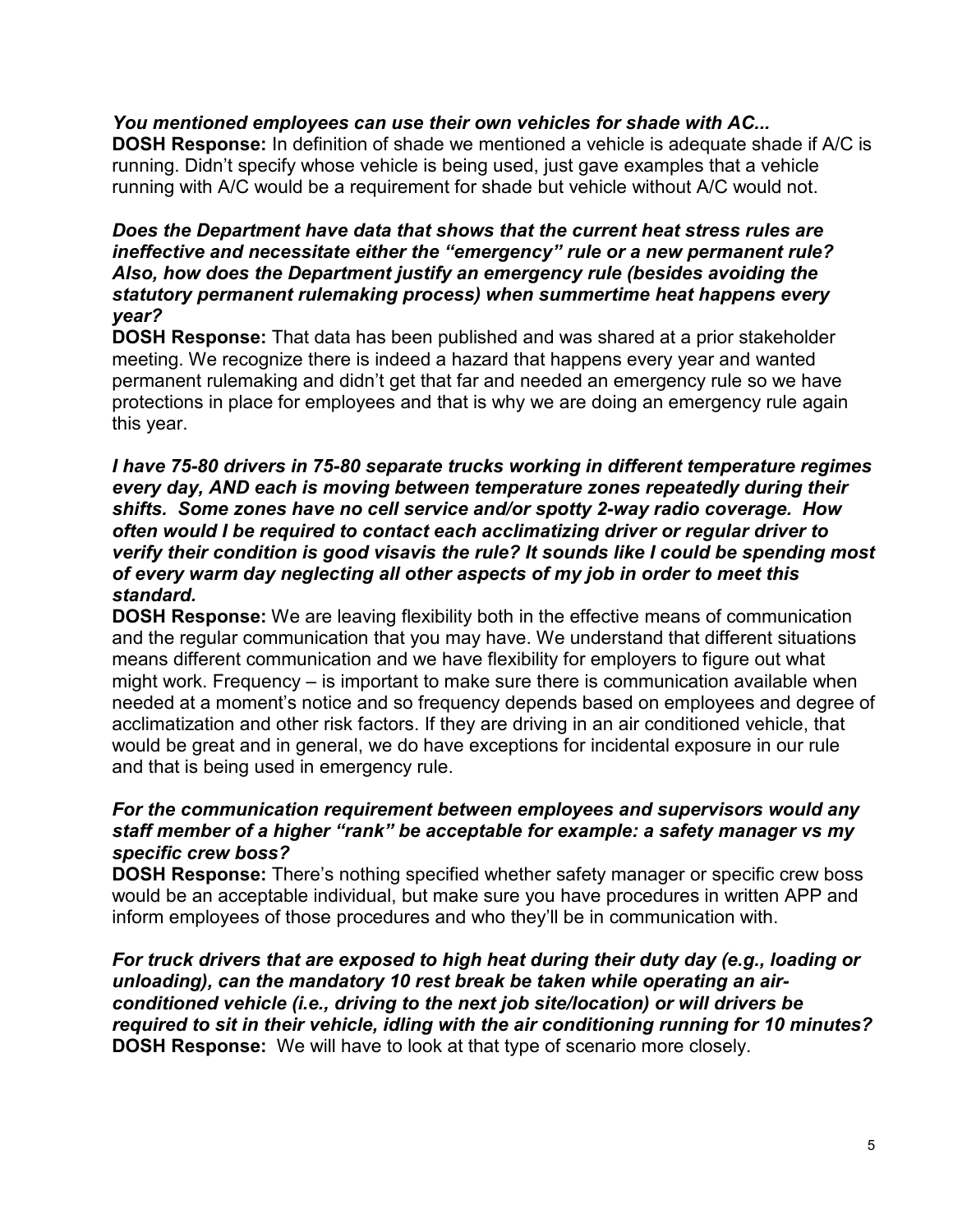# *You mentioned employees can use their own vehicles for shade with AC...*

**DOSH Response:** In definition of shade we mentioned a vehicle is adequate shade if A/C is running. Didn't specify whose vehicle is being used, just gave examples that a vehicle running with A/C would be a requirement for shade but vehicle without A/C would not.

#### *Does the Department have data that shows that the current heat stress rules are ineffective and necessitate either the "emergency" rule or a new permanent rule? Also, how does the Department justify an emergency rule (besides avoiding the statutory permanent rulemaking process) when summertime heat happens every year?*

**DOSH Response:** That data has been published and was shared at a prior stakeholder meeting. We recognize there is indeed a hazard that happens every year and wanted permanent rulemaking and didn't get that far and needed an emergency rule so we have protections in place for employees and that is why we are doing an emergency rule again this year.

#### *I have 75-80 drivers in 75-80 separate trucks working in different temperature regimes every day, AND each is moving between temperature zones repeatedly during their shifts. Some zones have no cell service and/or spotty 2-way radio coverage. How often would I be required to contact each acclimatizing driver or regular driver to verify their condition is good visavis the rule? It sounds like I could be spending most of every warm day neglecting all other aspects of my job in order to meet this standard.*

**DOSH Response:** We are leaving flexibility both in the effective means of communication and the regular communication that you may have. We understand that different situations means different communication and we have flexibility for employers to figure out what might work. Frequency – is important to make sure there is communication available when needed at a moment's notice and so frequency depends based on employees and degree of acclimatization and other risk factors. If they are driving in an air conditioned vehicle, that would be great and in general, we do have exceptions for incidental exposure in our rule and that is being used in emergency rule.

#### *For the communication requirement between employees and supervisors would any staff member of a higher "rank" be acceptable for example: a safety manager vs my specific crew boss?*

**DOSH Response:** There's nothing specified whether safety manager or specific crew boss would be an acceptable individual, but make sure you have procedures in written APP and inform employees of those procedures and who they'll be in communication with.

*For truck drivers that are exposed to high heat during their duty day (e.g., loading or unloading), can the mandatory 10 rest break be taken while operating an airconditioned vehicle (i.e., driving to the next job site/location) or will drivers be required to sit in their vehicle, idling with the air conditioning running for 10 minutes?* **DOSH Response:** We will have to look at that type of scenario more closely.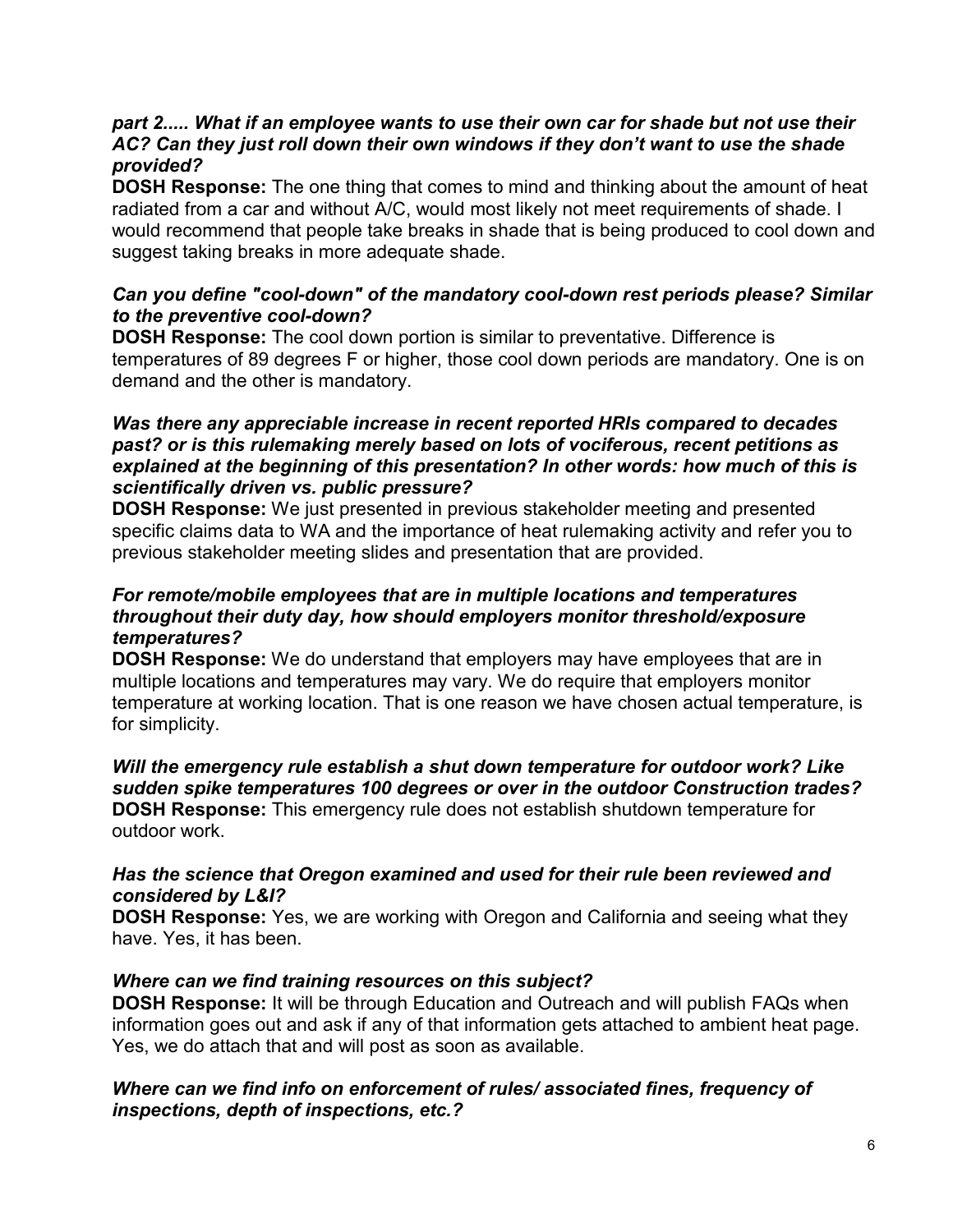#### *part 2..... What if an employee wants to use their own car for shade but not use their AC? Can they just roll down their own windows if they don't want to use the shade provided?*

**DOSH Response:** The one thing that comes to mind and thinking about the amount of heat radiated from a car and without A/C, would most likely not meet requirements of shade. I would recommend that people take breaks in shade that is being produced to cool down and suggest taking breaks in more adequate shade.

# *Can you define "cool-down" of the mandatory cool-down rest periods please? Similar to the preventive cool-down?*

**DOSH Response:** The cool down portion is similar to preventative. Difference is temperatures of 89 degrees F or higher, those cool down periods are mandatory. One is on demand and the other is mandatory.

## *Was there any appreciable increase in recent reported HRIs compared to decades past? or is this rulemaking merely based on lots of vociferous, recent petitions as explained at the beginning of this presentation? In other words: how much of this is scientifically driven vs. public pressure?*

**DOSH Response:** We just presented in previous stakeholder meeting and presented specific claims data to WA and the importance of heat rulemaking activity and refer you to previous stakeholder meeting slides and presentation that are provided.

# *For remote/mobile employees that are in multiple locations and temperatures throughout their duty day, how should employers monitor threshold/exposure temperatures?*

**DOSH Response:** We do understand that employers may have employees that are in multiple locations and temperatures may vary. We do require that employers monitor temperature at working location. That is one reason we have chosen actual temperature, is for simplicity.

*Will the emergency rule establish a shut down temperature for outdoor work? Like sudden spike temperatures 100 degrees or over in the outdoor Construction trades?* **DOSH Response:** This emergency rule does not establish shutdown temperature for outdoor work.

# *Has the science that Oregon examined and used for their rule been reviewed and considered by L&I?*

**DOSH Response:** Yes, we are working with Oregon and California and seeing what they have. Yes, it has been.

# *Where can we find training resources on this subject?*

**DOSH Response:** It will be through Education and Outreach and will publish FAQs when information goes out and ask if any of that information gets attached to ambient heat page. Yes, we do attach that and will post as soon as available.

# *Where can we find info on enforcement of rules/ associated fines, frequency of inspections, depth of inspections, etc.?*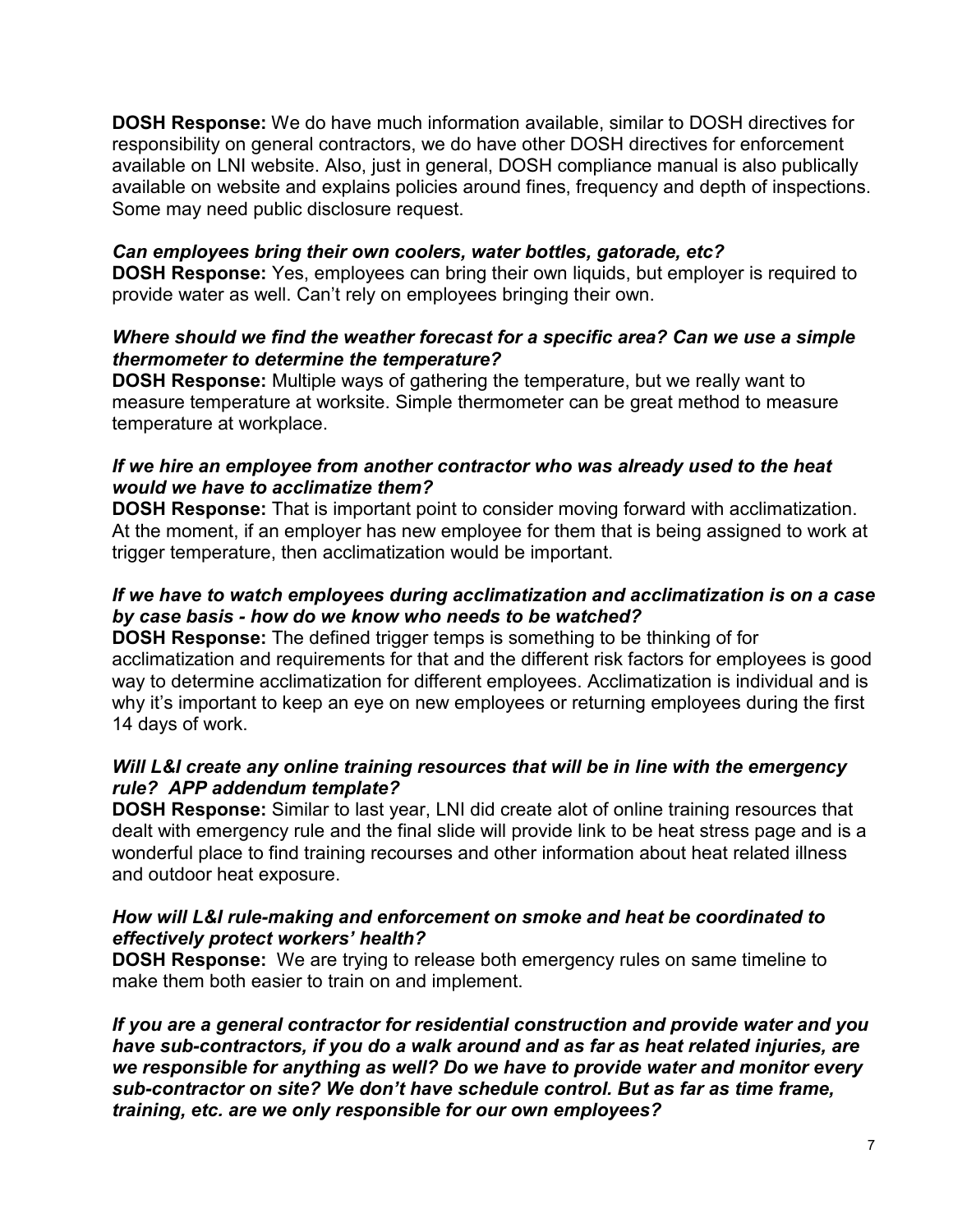**DOSH Response:** We do have much information available, similar to DOSH directives for responsibility on general contractors, we do have other DOSH directives for enforcement available on LNI website. Also, just in general, DOSH compliance manual is also publically available on website and explains policies around fines, frequency and depth of inspections. Some may need public disclosure request.

### *Can employees bring their own coolers, water bottles, gatorade, etc?*

**DOSH Response:** Yes, employees can bring their own liquids, but employer is required to provide water as well. Can't rely on employees bringing their own.

# *Where should we find the weather forecast for a specific area? Can we use a simple thermometer to determine the temperature?*

**DOSH Response:** Multiple ways of gathering the temperature, but we really want to measure temperature at worksite. Simple thermometer can be great method to measure temperature at workplace.

# *If we hire an employee from another contractor who was already used to the heat would we have to acclimatize them?*

**DOSH Response:** That is important point to consider moving forward with acclimatization. At the moment, if an employer has new employee for them that is being assigned to work at trigger temperature, then acclimatization would be important.

# *If we have to watch employees during acclimatization and acclimatization is on a case by case basis - how do we know who needs to be watched?*

**DOSH Response:** The defined trigger temps is something to be thinking of for acclimatization and requirements for that and the different risk factors for employees is good way to determine acclimatization for different employees. Acclimatization is individual and is why it's important to keep an eye on new employees or returning employees during the first 14 days of work.

# *Will L&I create any online training resources that will be in line with the emergency rule? APP addendum template?*

**DOSH Response:** Similar to last year, LNI did create alot of online training resources that dealt with emergency rule and the final slide will provide link to be heat stress page and is a wonderful place to find training recourses and other information about heat related illness and outdoor heat exposure.

### *How will L&I rule-making and enforcement on smoke and heat be coordinated to effectively protect workers' health?*

**DOSH Response:** We are trying to release both emergency rules on same timeline to make them both easier to train on and implement.

*If you are a general contractor for residential construction and provide water and you have sub-contractors, if you do a walk around and as far as heat related injuries, are we responsible for anything as well? Do we have to provide water and monitor every sub-contractor on site? We don't have schedule control. But as far as time frame, training, etc. are we only responsible for our own employees?*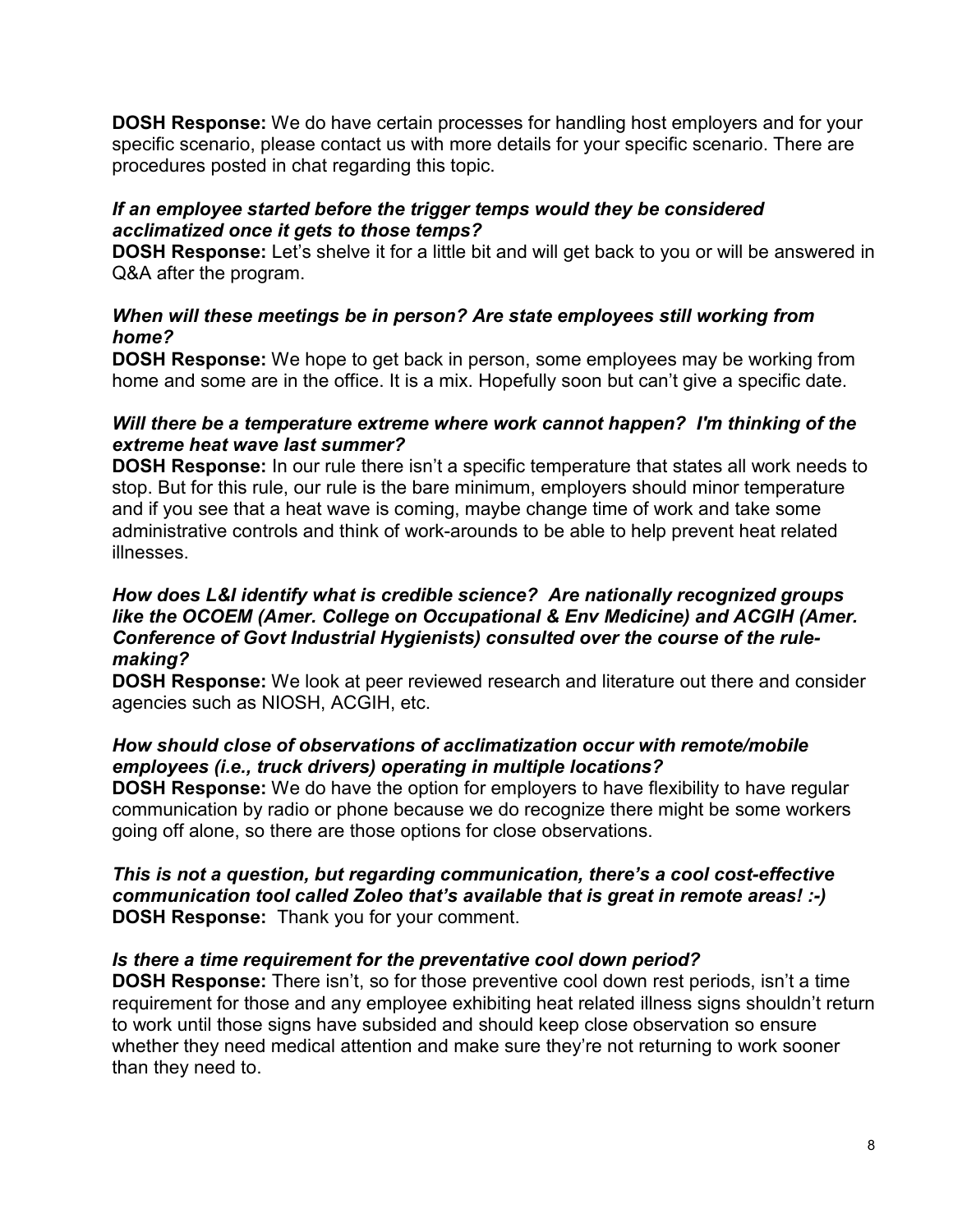**DOSH Response:** We do have certain processes for handling host employers and for your specific scenario, please contact us with more details for your specific scenario. There are procedures posted in chat regarding this topic.

# *If an employee started before the trigger temps would they be considered acclimatized once it gets to those temps?*

**DOSH Response:** Let's shelve it for a little bit and will get back to you or will be answered in Q&A after the program.

# *When will these meetings be in person? Are state employees still working from home?*

**DOSH Response:** We hope to get back in person, some employees may be working from home and some are in the office. It is a mix. Hopefully soon but can't give a specific date.

# *Will there be a temperature extreme where work cannot happen? I'm thinking of the extreme heat wave last summer?*

**DOSH Response:** In our rule there isn't a specific temperature that states all work needs to stop. But for this rule, our rule is the bare minimum, employers should minor temperature and if you see that a heat wave is coming, maybe change time of work and take some administrative controls and think of work-arounds to be able to help prevent heat related illnesses.

### *How does L&I identify what is credible science? Are nationally recognized groups like the OCOEM (Amer. College on Occupational & Env Medicine) and ACGIH (Amer. Conference of Govt Industrial Hygienists) consulted over the course of the rulemaking?*

**DOSH Response:** We look at peer reviewed research and literature out there and consider agencies such as NIOSH, ACGIH, etc.

# *How should close of observations of acclimatization occur with remote/mobile employees (i.e., truck drivers) operating in multiple locations?*

**DOSH Response:** We do have the option for employers to have flexibility to have regular communication by radio or phone because we do recognize there might be some workers going off alone, so there are those options for close observations.

# *This is not a question, but regarding communication, there's a cool cost-effective communication tool called Zoleo that's available that is great in remote areas! :-)* **DOSH Response:** Thank you for your comment.

# *Is there a time requirement for the preventative cool down period?*

**DOSH Response:** There isn't, so for those preventive cool down rest periods, isn't a time requirement for those and any employee exhibiting heat related illness signs shouldn't return to work until those signs have subsided and should keep close observation so ensure whether they need medical attention and make sure they're not returning to work sooner than they need to.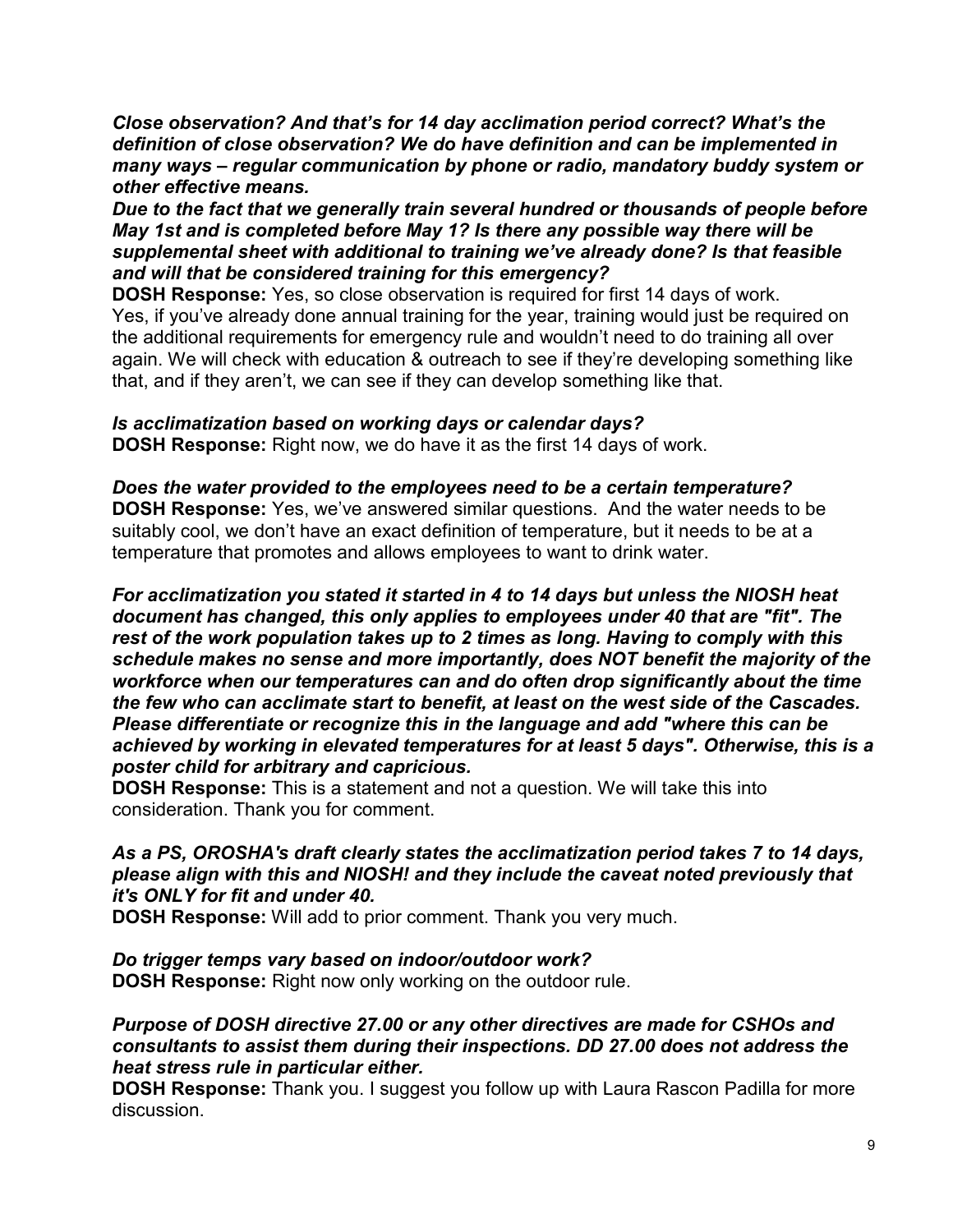*Close observation? And that's for 14 day acclimation period correct? What's the definition of close observation? We do have definition and can be implemented in many ways – regular communication by phone or radio, mandatory buddy system or other effective means.* 

*Due to the fact that we generally train several hundred or thousands of people before May 1st and is completed before May 1? Is there any possible way there will be supplemental sheet with additional to training we've already done? Is that feasible and will that be considered training for this emergency?*

**DOSH Response:** Yes, so close observation is required for first 14 days of work. Yes, if you've already done annual training for the year, training would just be required on the additional requirements for emergency rule and wouldn't need to do training all over again. We will check with education & outreach to see if they're developing something like that, and if they aren't, we can see if they can develop something like that.

# *Is acclimatization based on working days or calendar days?*

**DOSH Response:** Right now, we do have it as the first 14 days of work.

*Does the water provided to the employees need to be a certain temperature?* **DOSH Response:** Yes, we've answered similar questions. And the water needs to be suitably cool, we don't have an exact definition of temperature, but it needs to be at a temperature that promotes and allows employees to want to drink water.

*For acclimatization you stated it started in 4 to 14 days but unless the NIOSH heat document has changed, this only applies to employees under 40 that are "fit". The rest of the work population takes up to 2 times as long. Having to comply with this schedule makes no sense and more importantly, does NOT benefit the majority of the workforce when our temperatures can and do often drop significantly about the time the few who can acclimate start to benefit, at least on the west side of the Cascades. Please differentiate or recognize this in the language and add "where this can be achieved by working in elevated temperatures for at least 5 days". Otherwise, this is a poster child for arbitrary and capricious.*

**DOSH Response:** This is a statement and not a question. We will take this into consideration. Thank you for comment.

# *As a PS, OROSHA's draft clearly states the acclimatization period takes 7 to 14 days, please align with this and NIOSH! and they include the caveat noted previously that it's ONLY for fit and under 40.*

**DOSH Response:** Will add to prior comment. Thank you very much.

# *Do trigger temps vary based on indoor/outdoor work?*

**DOSH Response:** Right now only working on the outdoor rule.

#### *Purpose of DOSH directive 27.00 or any other directives are made for CSHOs and consultants to assist them during their inspections. DD 27.00 does not address the heat stress rule in particular either.*

**DOSH Response:** Thank you. I suggest you follow up with Laura Rascon Padilla for more discussion.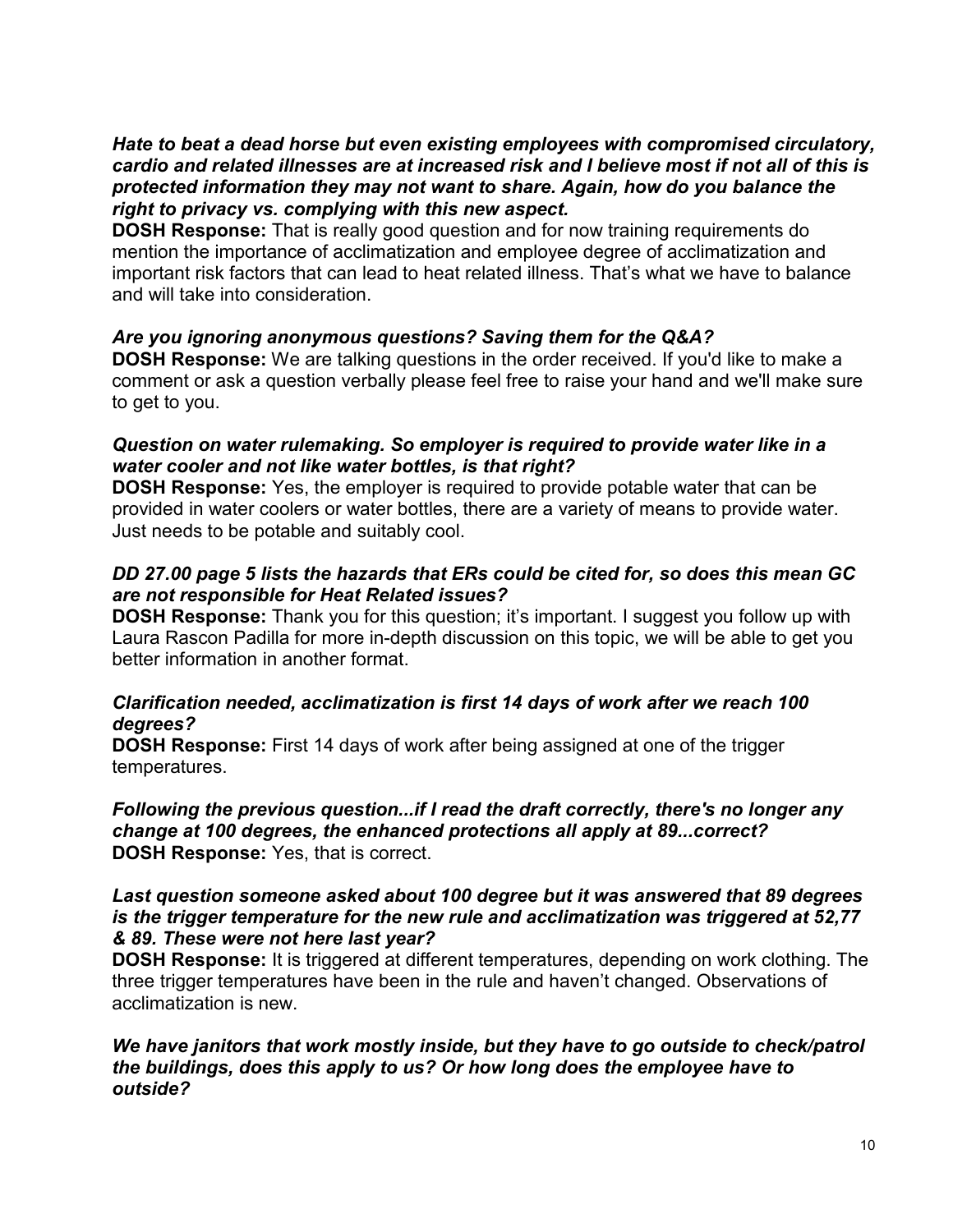# *Hate to beat a dead horse but even existing employees with compromised circulatory, cardio and related illnesses are at increased risk and I believe most if not all of this is protected information they may not want to share. Again, how do you balance the right to privacy vs. complying with this new aspect.*

**DOSH Response:** That is really good question and for now training requirements do mention the importance of acclimatization and employee degree of acclimatization and important risk factors that can lead to heat related illness. That's what we have to balance and will take into consideration.

# *Are you ignoring anonymous questions? Saving them for the Q&A?*

**DOSH Response:** We are talking questions in the order received. If you'd like to make a comment or ask a question verbally please feel free to raise your hand and we'll make sure to get to you.

#### *Question on water rulemaking. So employer is required to provide water like in a water cooler and not like water bottles, is that right?*

**DOSH Response:** Yes, the employer is required to provide potable water that can be provided in water coolers or water bottles, there are a variety of means to provide water. Just needs to be potable and suitably cool.

# *DD 27.00 page 5 lists the hazards that ERs could be cited for, so does this mean GC are not responsible for Heat Related issues?*

**DOSH Response:** Thank you for this question; it's important. I suggest you follow up with Laura Rascon Padilla for more in-depth discussion on this topic, we will be able to get you better information in another format.

### *Clarification needed, acclimatization is first 14 days of work after we reach 100 degrees?*

**DOSH Response:** First 14 days of work after being assigned at one of the trigger temperatures.

#### *Following the previous question...if I read the draft correctly, there's no longer any change at 100 degrees, the enhanced protections all apply at 89...correct?* **DOSH Response:** Yes, that is correct.

#### *Last question someone asked about 100 degree but it was answered that 89 degrees is the trigger temperature for the new rule and acclimatization was triggered at 52,77 & 89. These were not here last year?*

**DOSH Response:** It is triggered at different temperatures, depending on work clothing. The three trigger temperatures have been in the rule and haven't changed. Observations of acclimatization is new.

### *We have janitors that work mostly inside, but they have to go outside to check/patrol the buildings, does this apply to us? Or how long does the employee have to outside?*